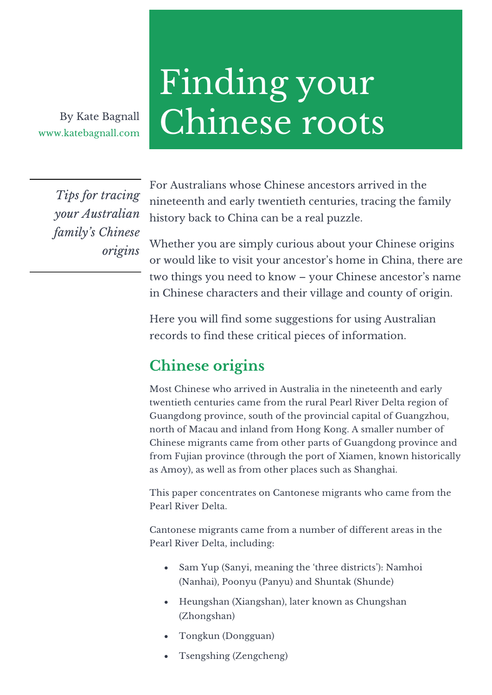www.katebagnall.com

# Finding your By Kate Bagnall Chinese roots

*Tips for tracing your Australian family's Chinese origins* For Australians whose Chinese ancestors arrived in the nineteenth and early twentieth centuries, tracing the family history back to China can be a real puzzle.

Whether you are simply curious about your Chinese origins or would like to visit your ancestor's home in China, there are two things you need to know – your Chinese ancestor's name in Chinese characters and their village and county of origin.

Here you will find some suggestions for using Australian records to find these critical pieces of information.

# **Chinese origins**

Most Chinese who arrived in Australia in the nineteenth and early twentieth centuries came from the rural Pearl River Delta region of Guangdong province, south of the provincial capital of Guangzhou, north of Macau and inland from Hong Kong. A smaller number of Chinese migrants came from other parts of Guangdong province and from Fujian province (through the port of Xiamen, known historically as Amoy), as well as from other places such as Shanghai.

This paper concentrates on Cantonese migrants who came from the Pearl River Delta.

Cantonese migrants came from a number of different areas in the Pearl River Delta, including:

- Sam Yup (Sanyi, meaning the 'three districts'): Namhoi (Nanhai), Poonyu (Panyu) and Shuntak (Shunde)
- Heungshan (Xiangshan), later known as Chungshan (Zhongshan)
- Tongkun (Dongguan)
- Tsengshing (Zengcheng)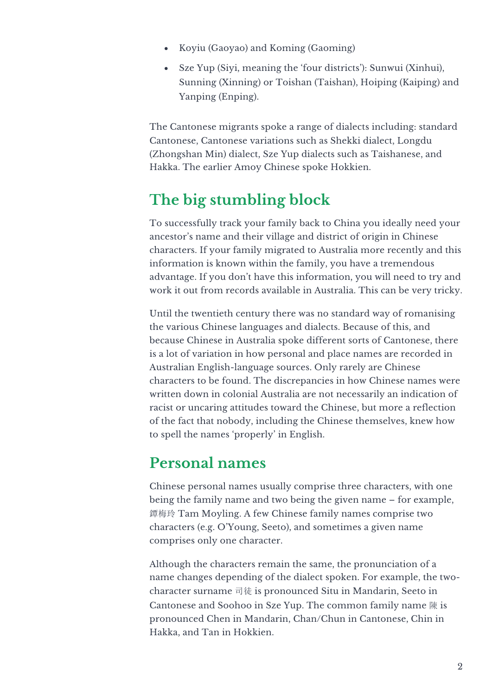- Koyiu (Gaoyao) and Koming (Gaoming)
- Sze Yup (Siyi, meaning the 'four districts'): Sunwui (Xinhui), Sunning (Xinning) or Toishan (Taishan), Hoiping (Kaiping) and Yanping (Enping).

The Cantonese migrants spoke a range of dialects including: standard Cantonese, Cantonese variations such as Shekki dialect, Longdu (Zhongshan Min) dialect, Sze Yup dialects such as Taishanese, and Hakka. The earlier Amoy Chinese spoke Hokkien.

# **The big stumbling block**

To successfully track your family back to China you ideally need your ancestor's name and their village and district of origin in Chinese characters. If your family migrated to Australia more recently and this information is known within the family, you have a tremendous advantage. If you don't have this information, you will need to try and work it out from records available in Australia. This can be very tricky.

Until the twentieth century there was no standard way of romanising the various Chinese languages and dialects. Because of this, and because Chinese in Australia spoke different sorts of Cantonese, there is a lot of variation in how personal and place names are recorded in Australian English-language sources. Only rarely are Chinese characters to be found. The discrepancies in how Chinese names were written down in colonial Australia are not necessarily an indication of racist or uncaring attitudes toward the Chinese, but more a reflection of the fact that nobody, including the Chinese themselves, knew how to spell the names 'properly' in English.

# **Personal names**

Chinese personal names usually comprise three characters, with one being the family name and two being the given name – for example, 鐔梅玲 Tam Moyling. A few Chinese family names comprise two characters (e.g. O'Young, Seeto), and sometimes a given name comprises only one character.

Although the characters remain the same, the pronunciation of a name changes depending of the dialect spoken. For example, the twocharacter surname 司徒 is pronounced Situ in Mandarin, Seeto in Cantonese and Soohoo in Sze Yup. The common family name 陳 is pronounced Chen in Mandarin, Chan/Chun in Cantonese, Chin in Hakka, and Tan in Hokkien.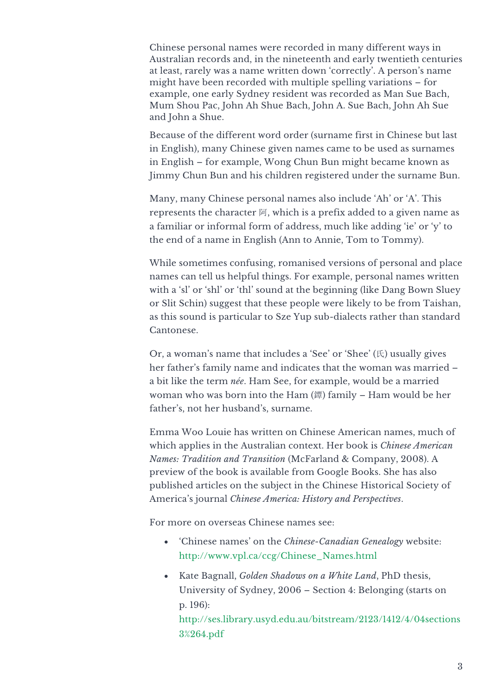Chinese personal names were recorded in many different ways in Australian records and, in the nineteenth and early twentieth centuries at least, rarely was a name written down 'correctly'. A person's name might have been recorded with multiple spelling variations – for example, one early Sydney resident was recorded as Man Sue Bach, Mum Shou Pac, John Ah Shue Bach, John A. Sue Bach, John Ah Sue and John a Shue.

Because of the different word order (surname first in Chinese but last in English), many Chinese given names came to be used as surnames in English – for example, Wong Chun Bun might became known as Jimmy Chun Bun and his children registered under the surname Bun.

Many, many Chinese personal names also include 'Ah' or 'A'. This represents the character 阿, which is a prefix added to a given name as a familiar or informal form of address, much like adding 'ie' or 'y' to the end of a name in English (Ann to Annie, Tom to Tommy).

While sometimes confusing, romanised versions of personal and place names can tell us helpful things. For example, personal names written with a 'sl' or 'shl' or 'thl' sound at the beginning (like Dang Bown Sluey or Slit Schin) suggest that these people were likely to be from Taishan, as this sound is particular to Sze Yup sub-dialects rather than standard Cantonese.

Or, a woman's name that includes a 'See' or 'Shee' (氏) usually gives her father's family name and indicates that the woman was married – a bit like the term *née*. Ham See, for example, would be a married woman who was born into the Ham (鐔) family – Ham would be her father's, not her husband's, surname.

Emma Woo Louie has written on Chinese American names, much of which applies in the Australian context. Her book is *Chinese American Names: Tradition and Transition* (McFarland & Company, 2008). A preview of the book is available from Google Books. She has also published articles on the subject in the Chinese Historical Society of America's journal *Chinese America: History and Perspectives*.

For more on overseas Chinese names see:

- 'Chinese names' on the *Chinese-Canadian Genealogy* website: http://www.vpl.ca/ccg/Chinese\_Names.html
- Kate Bagnall, *Golden Shadows on a White Land*, PhD thesis, University of Sydney, 2006 – Section 4: Belonging (starts on p. 196):

http://ses.library.usyd.edu.au/bitstream/2123/1412/4/04sections 3%264.pdf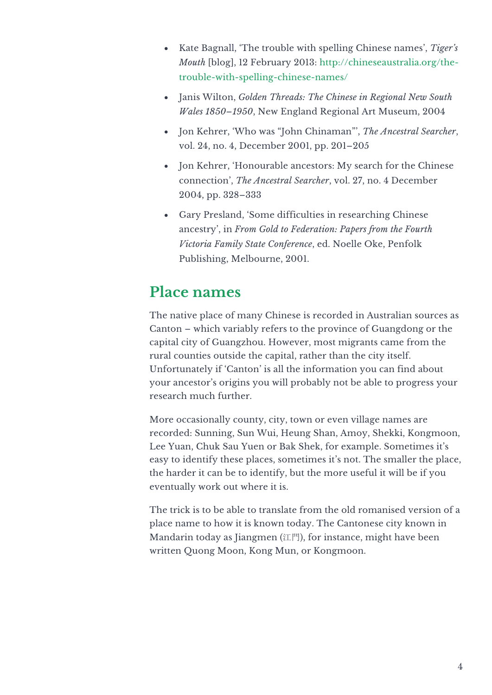- Kate Bagnall, 'The trouble with spelling Chinese names', *Tiger's Mouth* [blog], 12 February 2013: http://chineseaustralia.org/thetrouble-with-spelling-chinese-names/
- Janis Wilton, *Golden Threads: The Chinese in Regional New South Wales 1850–1950*, New England Regional Art Museum, 2004
- Jon Kehrer, 'Who was "John Chinaman"', *The Ancestral Searcher*, vol. 24, no. 4, December 2001, pp. 201–205
- Jon Kehrer, 'Honourable ancestors: My search for the Chinese connection', *The Ancestral Searcher*, vol. 27, no. 4 December 2004, pp. 328–333
- Gary Presland, 'Some difficulties in researching Chinese ancestry', in *From Gold to Federation: Papers from the Fourth Victoria Family State Conference*, ed. Noelle Oke, Penfolk Publishing, Melbourne, 2001.

### **Place names**

The native place of many Chinese is recorded in Australian sources as Canton – which variably refers to the province of Guangdong or the capital city of Guangzhou. However, most migrants came from the rural counties outside the capital, rather than the city itself. Unfortunately if 'Canton' is all the information you can find about your ancestor's origins you will probably not be able to progress your research much further.

More occasionally county, city, town or even village names are recorded: Sunning, Sun Wui, Heung Shan, Amoy, Shekki, Kongmoon, Lee Yuan, Chuk Sau Yuen or Bak Shek, for example. Sometimes it's easy to identify these places, sometimes it's not. The smaller the place, the harder it can be to identify, but the more useful it will be if you eventually work out where it is.

The trick is to be able to translate from the old romanised version of a place name to how it is known today. The Cantonese city known in Mandarin today as Jiangmen (江門), for instance, might have been written Quong Moon, Kong Mun, or Kongmoon.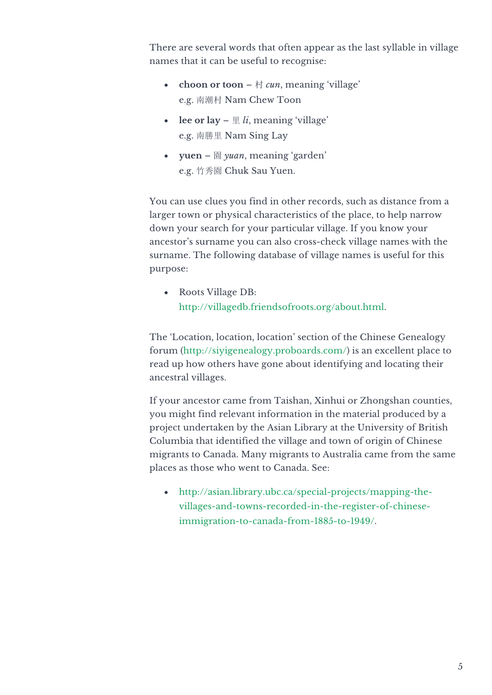There are several words that often appear as the last syllable in village names that it can be useful to recognise:

- **choon or toon**  $\forall$  *cun*, meaning 'village' e.g. 南潮村 Nam Chew Toon
- lee or lay  $-\nightharpoonup$  *li*, meaning 'village' e.g. 南勝里 Nam Sing Lay
- **yuen** 園 *yuan*, meaning 'garden' e.g. 竹秀園 Chuk Sau Yuen.

You can use clues you find in other records, such as distance from a larger town or physical characteristics of the place, to help narrow down your search for your particular village. If you know your ancestor's surname you can also cross-check village names with the surname. The following database of village names is useful for this purpose:

• Roots Village DB: http://villagedb.friendsofroots.org/about.html.

The 'Location, location, location' section of the Chinese Genealogy forum (http://siyigenealogy.proboards.com/) is an excellent place to read up how others have gone about identifying and locating their ancestral villages.

If your ancestor came from Taishan, Xinhui or Zhongshan counties, you might find relevant information in the material produced by a project undertaken by the Asian Library at the University of British Columbia that identified the village and town of origin of Chinese migrants to Canada. Many migrants to Australia came from the same places as those who went to Canada. See:

• http://asian.library.ubc.ca/special-projects/mapping-thevillages-and-towns-recorded-in-the-register-of-chineseimmigration-to-canada-from-1885-to-1949/.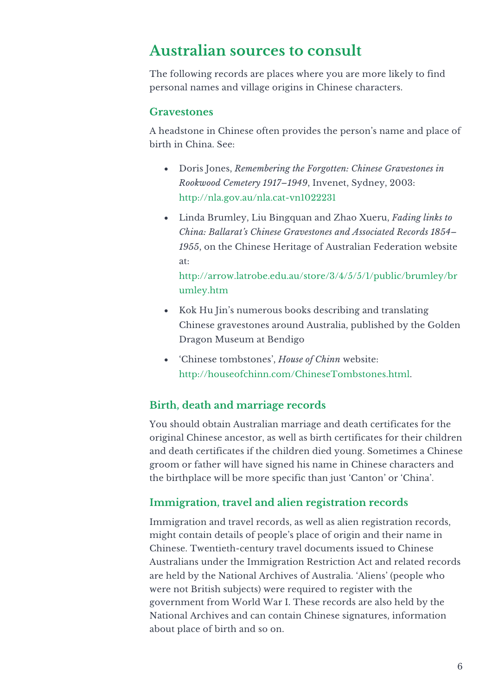## **Australian sources to consult**

The following records are places where you are more likely to find personal names and village origins in Chinese characters.

#### **Gravestones**

A headstone in Chinese often provides the person's name and place of birth in China. See:

- Doris Jones, *Remembering the Forgotten: Chinese Gravestones in Rookwood Cemetery 1917–1949*, Invenet, Sydney, 2003: http://nla.gov.au/nla.cat-vn1022231
- Linda Brumley, Liu Bingquan and Zhao Xueru, *Fading links to China: Ballarat's Chinese Gravestones and Associated Records 1854– 1955*, on the Chinese Heritage of Australian Federation website at:

http://arrow.latrobe.edu.au/store/3/4/5/5/1/public/brumley/br umley.htm

- Kok Hu Jin's numerous books describing and translating Chinese gravestones around Australia, published by the Golden Dragon Museum at Bendigo
- 'Chinese tombstones', *House of Chinn* website: http://houseofchinn.com/ChineseTombstones.html.

#### **Birth, death and marriage records**

You should obtain Australian marriage and death certificates for the original Chinese ancestor, as well as birth certificates for their children and death certificates if the children died young. Sometimes a Chinese groom or father will have signed his name in Chinese characters and the birthplace will be more specific than just 'Canton' or 'China'.

#### **Immigration, travel and alien registration records**

Immigration and travel records, as well as alien registration records, might contain details of people's place of origin and their name in Chinese. Twentieth-century travel documents issued to Chinese Australians under the Immigration Restriction Act and related records are held by the National Archives of Australia. 'Aliens' (people who were not British subjects) were required to register with the government from World War I. These records are also held by the National Archives and can contain Chinese signatures, information about place of birth and so on.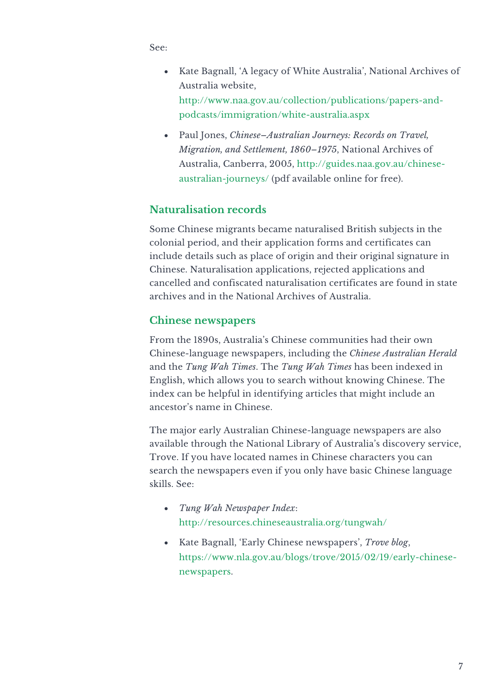See:

- Kate Bagnall, 'A legacy of White Australia', National Archives of Australia website, http://www.naa.gov.au/collection/publications/papers-andpodcasts/immigration/white-australia.aspx
- Paul Jones, *Chinese–Australian Journeys: Records on Travel, Migration, and Settlement, 1860–1975*, National Archives of Australia, Canberra, 2005, http://guides.naa.gov.au/chineseaustralian-journeys/ (pdf available online for free).

#### **Naturalisation records**

Some Chinese migrants became naturalised British subjects in the colonial period, and their application forms and certificates can include details such as place of origin and their original signature in Chinese. Naturalisation applications, rejected applications and cancelled and confiscated naturalisation certificates are found in state archives and in the National Archives of Australia.

#### **Chinese newspapers**

From the 1890s, Australia's Chinese communities had their own Chinese-language newspapers, including the *Chinese Australian Herald* and the *Tung Wah Times*. The *Tung Wah Times* has been indexed in English, which allows you to search without knowing Chinese. The index can be helpful in identifying articles that might include an ancestor's name in Chinese.

The major early Australian Chinese-language newspapers are also available through the National Library of Australia's discovery service, Trove. If you have located names in Chinese characters you can search the newspapers even if you only have basic Chinese language skills. See:

- *Tung Wah Newspaper Index*: http://resources.chineseaustralia.org/tungwah/
- Kate Bagnall, 'Early Chinese newspapers', *Trove blog*, https://www.nla.gov.au/blogs/trove/2015/02/19/early-chinesenewspapers.